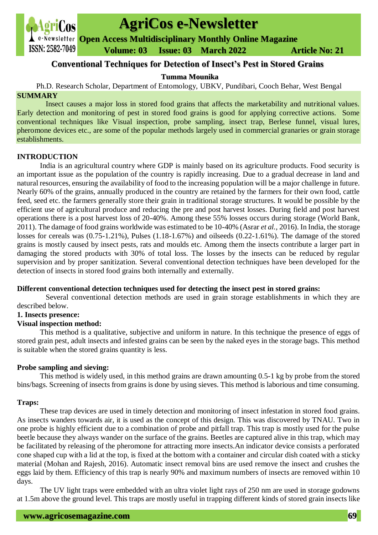

# **AgriCos e-Newsletter**

**Open Access Multidisciplinary Monthly Online Magazine**

 **Volume: 03 Issue: 03 March 2022 Article No: 21**

# **Conventional Techniques for Detection of Insect's Pest in Stored Grains**

# **Tumma Mounika**

Ph.D. Research Scholar, Department of Entomology, UBKV, Pundibari, Cooch Behar, West Bengal **SUMMARY**

Insect causes a major loss in stored food grains that affects the marketability and nutritional values. Early detection and monitoring of pest in stored food grains is good for applying corrective actions. Some conventional techniques like Visual inspection, probe sampling, insect trap, Berlese funnel, visual lures, pheromone devices etc., are some of the popular methods largely used in commercial granaries or grain storage establishments.

# **INTRODUCTION**

India is an agricultural country where GDP is mainly based on its agriculture products. Food security is an important issue as the population of the country is rapidly increasing. Due to a gradual decrease in land and natural resources, ensuring the availability of food to the increasing population will be a major challenge in future. Nearly 60% of the grains, annually produced in the country are retained by the farmers for their own food, cattle feed, seed etc. the farmers generally store their grain in traditional storage structures. It would be possible by the efficient use of agricultural produce and reducing the pre and post harvest losses. During field and post harvest operations there is a post harvest loss of 20-40%. Among these 55% losses occurs during storage (World Bank, 2011). The damage of food grains worldwide was estimated to be 10-40% (Asrar *et al.,* 2016). In India, the storage losses for cereals was (0.75-1.21%), Pulses (1.18-1.67%) and oilseeds (0.22-1.61%). The damage of the stored grains is mostly caused by insect pests, rats and moulds etc. Among them the insects contribute a larger part in damaging the stored products with 30% of total loss. The losses by the insects can be reduced by regular supervision and by proper sanitization. Several conventional detection techniques have been developed for the detection of insects in stored food grains both internally and externally.

# **Different conventional detection techniques used for detecting the insect pest in stored grains:**

Several conventional detection methods are used in grain storage establishments in which they are described below.

# **1. Insects presence:**

# **Visual inspection method:**

This method is a qualitative, subjective and uniform in nature. In this technique the presence of eggs of stored grain pest, adult insects and infested grains can be seen by the naked eyes in the storage bags. This method is suitable when the stored grains quantity is less.

# **Probe sampling and sieving:**

This method is widely used, in this method grains are drawn amounting 0.5-1 kg by probe from the stored bins/bags. Screening of insects from grains is done by using sieves. This method is laborious and time consuming.

# **Traps:**

These trap devices are used in timely detection and monitoring of insect infestation in stored food grains. As insects wanders towards air, it is used as the concept of this design. This was discovered by TNAU. Two in one probe is highly efficient due to a combination of probe and pitfall trap. This trap is mostly used for the pulse beetle because they always wander on the surface of the grains. Beetles are captured alive in this trap, which may be facilitated by releasing of the pheromone for attracting more insects.An indicator device consists a perforated cone shaped cup with a lid at the top, is fixed at the bottom with a container and circular dish coated with a sticky material (Mohan and Rajesh, 2016). Automatic insect removal bins are used remove the insect and crushes the eggs laid by them. Efficiency of this trap is nearly 90% and maximum numbers of insects are removed within 10 days.

The UV light traps were embedded with an ultra violet light rays of 250 nm are used in storage godowns at 1.5m above the ground level. This traps are mostly useful in trapping different kinds of stored grain insects like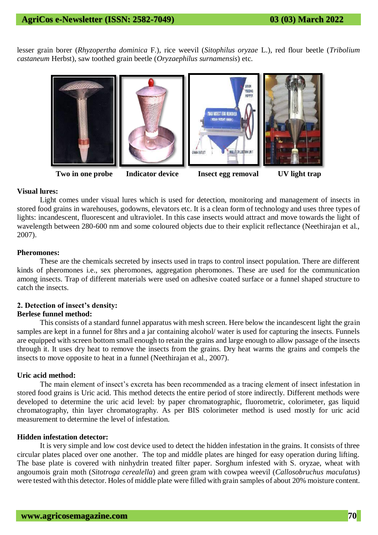lesser grain borer (*Rhyzopertha dominica* F.), rice weevil (*Sitophilus oryzae* L.), red flour beetle (*Tribolium castaneum* Herbst), saw toothed grain beetle (*Oryzaephilus surnamensis*) etc.



**Two in one probe Indicator device Insect egg removal UV light trap**

# **Visual lures:**

Light comes under visual lures which is used for detection, monitoring and management of insects in stored food grains in warehouses, godowns, elevators etc. It is a clean form of technology and uses three types of lights: incandescent, fluorescent and ultraviolet. In this case insects would attract and move towards the light of wavelength between 280-600 nm and some coloured objects due to their explicit reflectance (Neethirajan et al., 2007).

### **Pheromones:**

These are the chemicals secreted by insects used in traps to control insect population. There are different kinds of pheromones i.e., sex pheromones, aggregation pheromones. These are used for the communication among insects. Trap of different materials were used on adhesive coated surface or a funnel shaped structure to catch the insects.

# **2. Detection of insect's density:**

# **Berlese funnel method:**

This consists of a standard funnel apparatus with mesh screen. Here below the incandescent light the grain samples are kept in a funnel for 8hrs and a jar containing alcohol/ water is used for capturing the insects. Funnels are equipped with screen bottom small enough to retain the grains and large enough to allow passage of the insects through it. It uses dry heat to remove the insects from the grains. Dry heat warms the grains and compels the insects to move opposite to heat in a funnel (Neethirajan et al., 2007).

# **Uric acid method:**

The main element of insect's excreta has been recommended as a tracing element of insect infestation in stored food grains is Uric acid. This method detects the entire period of store indirectly. Different methods were developed to determine the uric acid level: by paper chromatographic, fluorometric, colorimeter, gas liquid chromatography, thin layer chromatography. As per BIS colorimeter method is used mostly for uric acid measurement to determine the level of infestation.

## **Hidden infestation detector:**

It is very simple and low cost device used to detect the hidden infestation in the grains. It consists of three circular plates placed over one another. The top and middle plates are hinged for easy operation during lifting. The base plate is covered with ninhydrin treated filter paper. Sorghum infested with S. oryzae, wheat with angoumois grain moth (*Sitotroga cerealella*) and green gram with cowpea weevil (*Callosobruchus maculatus*) were tested with this detector. Holes of middle plate were filled with grain samples of about 20% moisture content.